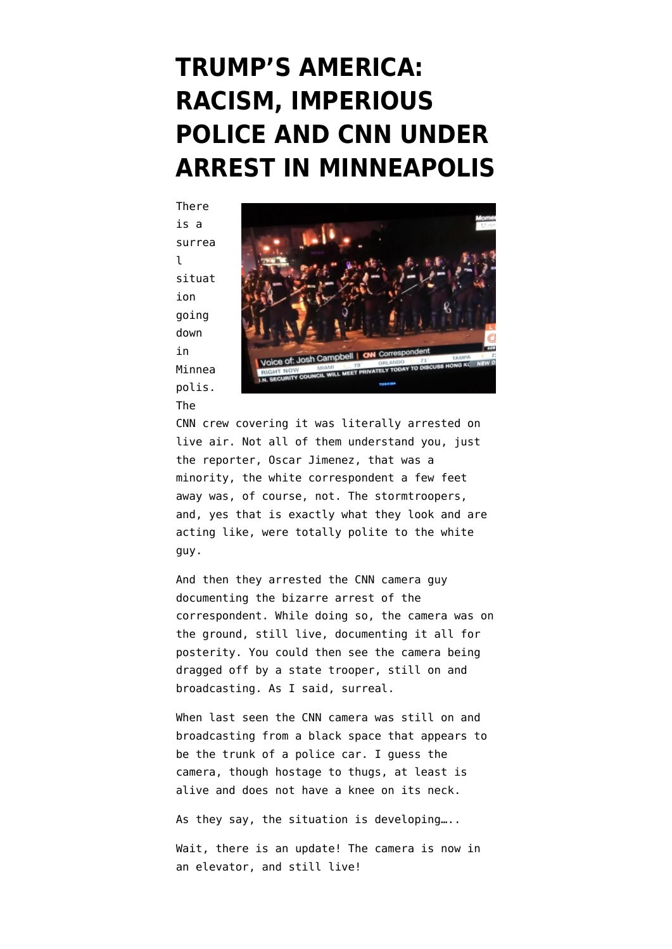#### **[TRUMP'S AMERICA:](https://www.emptywheel.net/2020/05/29/trumps-america-racism-imperious-police-and-cnn-under-arrest-in-minneapolis/) [RACISM, IMPERIOUS](https://www.emptywheel.net/2020/05/29/trumps-america-racism-imperious-police-and-cnn-under-arrest-in-minneapolis/) [POLICE AND CNN UNDER](https://www.emptywheel.net/2020/05/29/trumps-america-racism-imperious-police-and-cnn-under-arrest-in-minneapolis/) [ARREST IN MINNEAPOLIS](https://www.emptywheel.net/2020/05/29/trumps-america-racism-imperious-police-and-cnn-under-arrest-in-minneapolis/)**

There is a surrea l situat ion going down in Minnea polis. The



CNN crew covering it was literally arrested on live air. Not all of them understand you, just the reporter, Oscar Jimenez, that was a minority, the white correspondent a few feet away was, of course, not. The stormtroopers, and, yes that is exactly what they look and are acting like, were totally polite to the white guy.

And then they arrested the CNN camera guy documenting the bizarre arrest of the correspondent. While doing so, the camera was on the ground, still live, documenting it all for posterity. You could then see the camera being dragged off by a state trooper, still on and broadcasting. As I said, surreal.

When last seen the CNN camera was still on and broadcasting from a black space that appears to be the trunk of a police car. I guess the camera, though hostage to thugs, at least is alive and does not have a knee on its neck.

As they say, the situation is developing…..

Wait, there is an update! The camera is now in an elevator, and still live!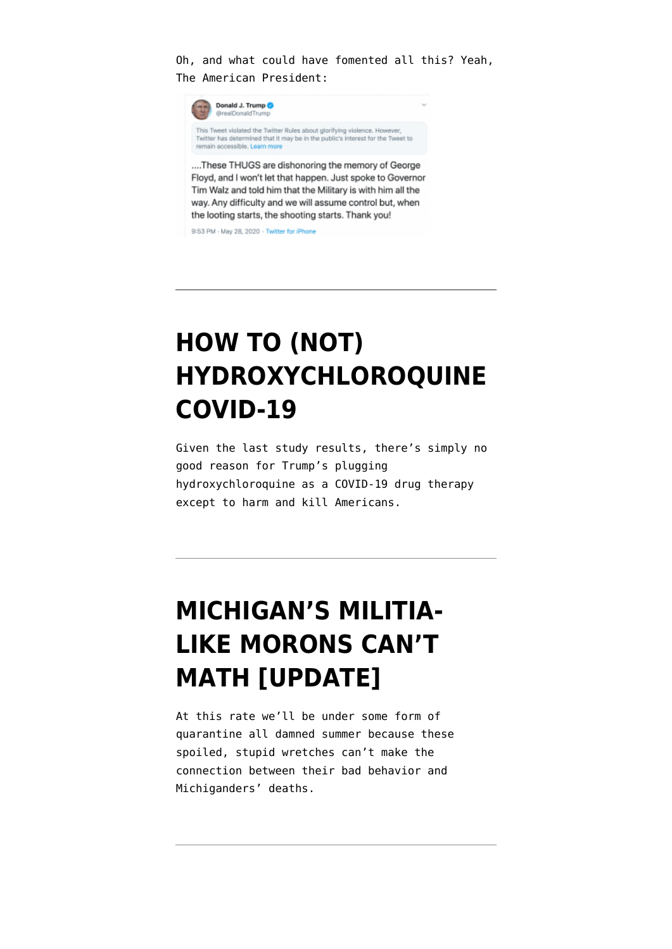Oh, and what could have fomented all this? Yeah, The American President:



Floyd, and I won't let that happen. Just spoke to Governor Tim Walz and told him that the Military is with him all the way. Any difficulty and we will assume control but, when the looting starts, the shooting starts. Thank you!

9:53 PM - May 28, 2020 - Twitter for iPhone

## **[HOW TO \(NOT\)](https://www.emptywheel.net/2020/05/23/how-to-not-hydroxychloroquine-covid-19/) [HYDROXYCHLOROQUINE](https://www.emptywheel.net/2020/05/23/how-to-not-hydroxychloroquine-covid-19/) [COVID-19](https://www.emptywheel.net/2020/05/23/how-to-not-hydroxychloroquine-covid-19/)**

Given the last study results, there's simply no good reason for Trump's plugging hydroxychloroquine as a COVID-19 drug therapy except to harm and kill Americans.

## **[MICHIGAN'S MILITIA-](https://www.emptywheel.net/2020/05/03/michigans-militia-like-morons-cant-math/)[LIKE MORONS CAN'T](https://www.emptywheel.net/2020/05/03/michigans-militia-like-morons-cant-math/) [MATH \[UPDATE\]](https://www.emptywheel.net/2020/05/03/michigans-militia-like-morons-cant-math/)**

At this rate we'll be under some form of quarantine all damned summer because these spoiled, stupid wretches can't make the connection between their bad behavior and Michiganders' deaths.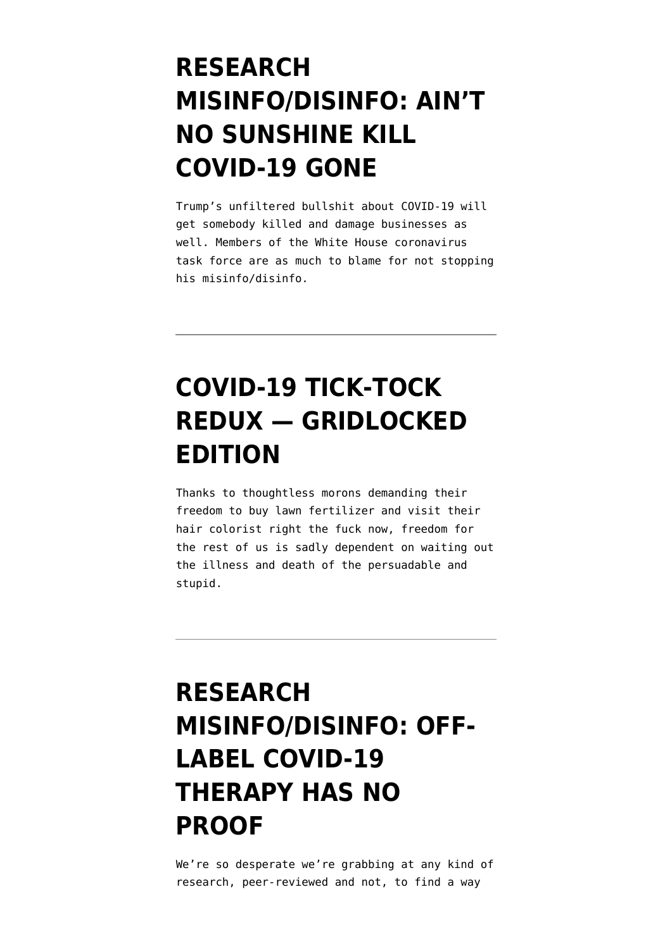#### **[RESEARCH](https://www.emptywheel.net/2020/04/26/research-misinfo-disinfo-aint-no-sunshine-kill-covid-19-gone/) [MISINFO/DISINFO: AIN'T](https://www.emptywheel.net/2020/04/26/research-misinfo-disinfo-aint-no-sunshine-kill-covid-19-gone/) [NO SUNSHINE KILL](https://www.emptywheel.net/2020/04/26/research-misinfo-disinfo-aint-no-sunshine-kill-covid-19-gone/) [COVID-19 GONE](https://www.emptywheel.net/2020/04/26/research-misinfo-disinfo-aint-no-sunshine-kill-covid-19-gone/)**

Trump's unfiltered bullshit about COVID-19 will get somebody killed and damage businesses as well. Members of the White House coronavirus task force are as much to blame for not stopping his misinfo/disinfo.

# **[COVID-19 TICK-TOCK](https://www.emptywheel.net/2020/04/17/covid-19-tick-tock-redux-gridlocked-edition/) [REDUX — GRIDLOCKED](https://www.emptywheel.net/2020/04/17/covid-19-tick-tock-redux-gridlocked-edition/) [EDITION](https://www.emptywheel.net/2020/04/17/covid-19-tick-tock-redux-gridlocked-edition/)**

Thanks to thoughtless morons demanding their freedom to buy lawn fertilizer and visit their hair colorist right the fuck now, freedom for the rest of us is sadly dependent on waiting out the illness and death of the persuadable and stupid.

## **[RESEARCH](https://www.emptywheel.net/2020/04/15/research-misinfo-disinfo-offlabel-covid-19-no-proof/) [MISINFO/DISINFO: OFF-](https://www.emptywheel.net/2020/04/15/research-misinfo-disinfo-offlabel-covid-19-no-proof/)[LABEL COVID-19](https://www.emptywheel.net/2020/04/15/research-misinfo-disinfo-offlabel-covid-19-no-proof/) [THERAPY HAS NO](https://www.emptywheel.net/2020/04/15/research-misinfo-disinfo-offlabel-covid-19-no-proof/) [PROOF](https://www.emptywheel.net/2020/04/15/research-misinfo-disinfo-offlabel-covid-19-no-proof/)**

We're so desperate we're grabbing at any kind of research, peer-reviewed and not, to find a way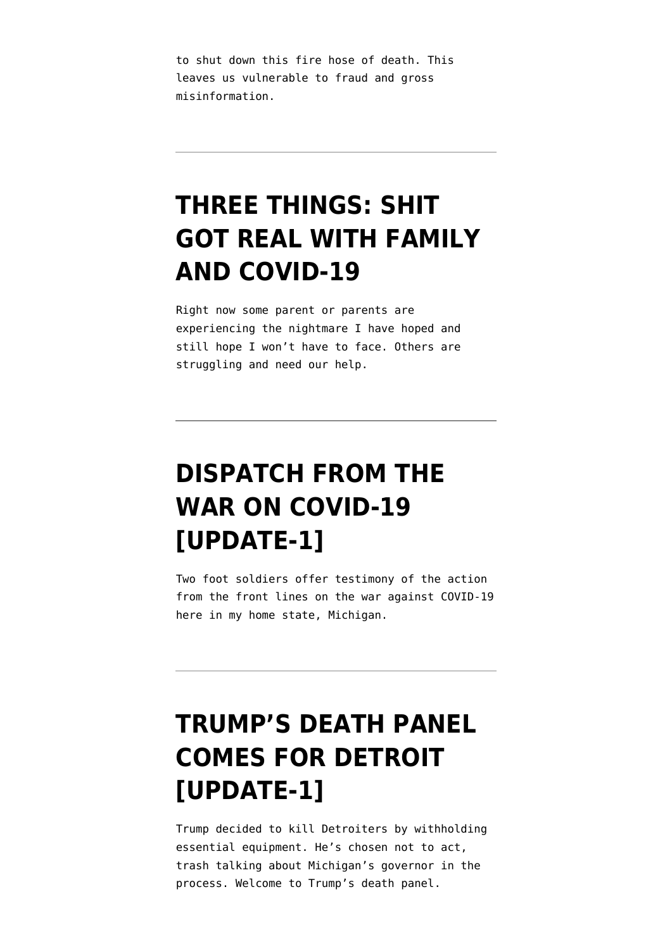to shut down this fire hose of death. This leaves us vulnerable to fraud and gross misinformation.

#### **[THREE THINGS: SHIT](https://www.emptywheel.net/2020/03/30/three-things-shit-got-real-with-family-and-covid-19/) [GOT REAL WITH FAMILY](https://www.emptywheel.net/2020/03/30/three-things-shit-got-real-with-family-and-covid-19/) [AND COVID-19](https://www.emptywheel.net/2020/03/30/three-things-shit-got-real-with-family-and-covid-19/)**

Right now some parent or parents are experiencing the nightmare I have hoped and still hope I won't have to face. Others are struggling and need our help.

# **[DISPATCH FROM THE](https://www.emptywheel.net/2020/03/27/dispatch-from-the-war-on-covid-19/) [WAR ON COVID-19](https://www.emptywheel.net/2020/03/27/dispatch-from-the-war-on-covid-19/) [\[UPDATE-1\]](https://www.emptywheel.net/2020/03/27/dispatch-from-the-war-on-covid-19/)**

Two foot soldiers offer testimony of the action from the front lines on the war against COVID-19 here in my home state, Michigan.

# **[TRUMP'S DEATH PANEL](https://www.emptywheel.net/2020/03/27/trumps-death-panel-comes-for-detroit/) [COMES FOR DETROIT](https://www.emptywheel.net/2020/03/27/trumps-death-panel-comes-for-detroit/) [\[UPDATE-1\]](https://www.emptywheel.net/2020/03/27/trumps-death-panel-comes-for-detroit/)**

Trump decided to kill Detroiters by withholding essential equipment. He's chosen not to act, trash talking about Michigan's governor in the process. Welcome to Trump's death panel.